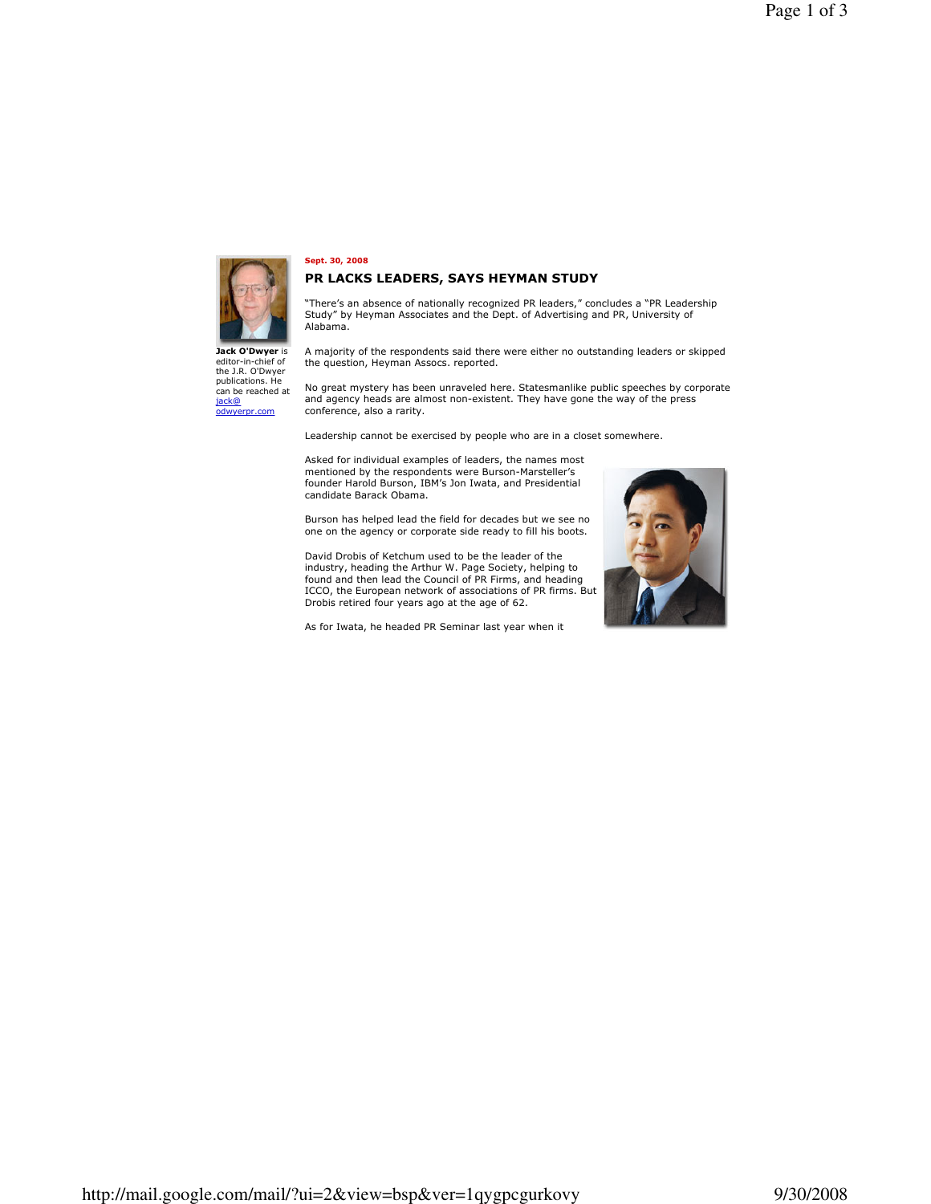

Jack O'Dwyer is editor-in-chief of

the J.R. O'Dwyer<br>publications. He

odwyerpr.com

can be reached at jack@

## Sept. 30, 2008

## PR LACKS LEADERS, SAYS HEYMAN STUDY

"There's an absence of nationally recognized PR leaders," concludes a "PR Leadership<br>Study" by Heyman Associates and the Dept. of Advertising and PR, University of Alabama.

A majority of the respondents said there were either no outstanding leaders or skipped the question, Heyman Assocs. reported.

No great mystery has been unraveled here. Statesmanlike public speeches by corporate and agency heads are almost non-existent. They have gone the way of the press conference, also a rarity.

Leadership cannot be exercised by people who are in a closet somewhere.

Asked for individual examples of leaders, the names most mentioned by the respondents were Burson-Marsteller's<br>founder Harold Burson, IBM's Jon Iwata, and Presidential candidate Barack Obama.

Burson has helped lead the field for decades but we see no one on the agency or corporate side ready to fill his boots.

David Drobis of Ketchum used to be the leader of the industry, heading the Arthur W. Page Society, helping to<br>found and then lead the Council of PR Firms, and heading<br>ICCO, the European network of associations of PR firms. But Drobis retired four years ago at the age of 62.

As for Iwata, he headed PR Seminar last year when it

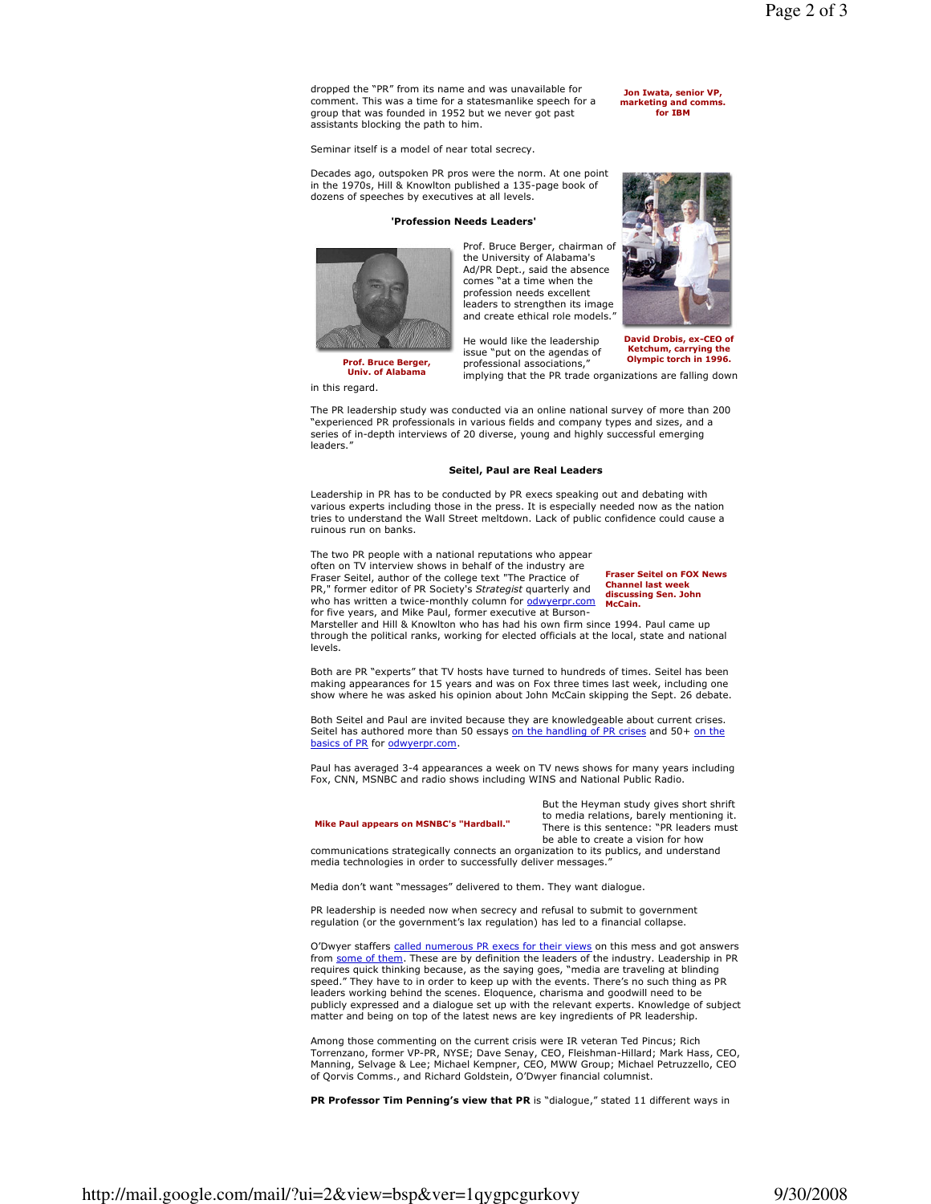dropped the "PR" from its name and was unavailable for comment. This was a time for a statesmanlike speech for a group that was founded in 1952 but we never got past assistants blocking the path to him.

Seminar itself is a model of near total secrecy.

Decades ago, outspoken PR pros were the norm. At one point in the 1970s, Hill & Knowlton published a 135-page book of dozens of speeches by executives at all levels.

## 'Profession Needs Leaders'



Prof. Bruce Berger, chairman of the University of Alabama's Ad/PR Dept., said the absence comes "at a time when the profession needs excellent leaders to strengthen its image and create ethical role models."

Prof. Bruce Berger, **Univ. of Alabama** 



Jon Iwata, senior VP,

marketing and comms.

for IBM

He would like the leadership Ketchum, carrying the issue "put on the agendas of professional associations,'

Olympic torch in 1996. implying that the PR trade organizations are falling down

in this regard.

The PR leadership study was conducted via an online national survey of more than 200 experienced PR professionals in various fields and company types and sizes, and a series of in-depth interviews of 20 diverse, young and highly successful emerging leaders.'

## Seitel, Paul are Real Leaders

Leadership in PR has to be conducted by PR execs speaking out and debating with various experts including those in the press. It is especially needed now as the nation tries to understand the Wall Street meltdown. Lack of public confidence could cause a ruinous run on banks.

The two PR people with a national reputations who appear often on TV interview shows in behalf of the industry are Fraser Seitel, author of the college text "The Practice of PR," former editor of PR Society's Strategist quarterly and who has written a twice-monthly column for odwyerpr.com McCain. for five years, and Mike Paul, former executive at Burson-

**Fraser Seitel on FOX News** Channel last wee discussing Sen. John

Marsteller and Hill & Knowlton who has had his own firm since 1994. Paul came up through the political ranks, working for elected officials at the local, state and national levels.

Both are PR "experts" that TV hosts have turned to hundreds of times. Seitel has been making appearances for 15 years and was on Fox three times last week, including one show where he was asked his opinion about John McCain skipping the Sept. 26 debate.

Both Seitel and Paul are invited because they are knowledgeable about current crises. Seitel has authored more than 50 essays on the handling of PR crises and 50+ on the basics of PR for odwyerpr.com.

Paul has averaged 3-4 appearances a week on TV news shows for many years including Fox, CNN, MSNBC and radio shows including WINS and National Public Radio.

> But the Heyman study gives short shrift to media relations, barely mentioning it. There is this sentence: "PR leaders must

Mike Paul appears on MSNBC's "Hardball."

be able to create a vision for how communications strategically connects an organization to its publics, and understand media technologies in order to successfully deliver messages.'

Media don't want "messages" delivered to them. They want dialogue.

PR leadership is needed now when secrecy and refusal to submit to government regulation (or the government's lax regulation) has led to a financial collapse.

O'Dwyer staffers called numerous PR execs for their views on this mess and got answers from some of them. These are by definition the leaders of the industry. Leadership in PR requires quick thinking because, as the saying goes, "media are traveling at blinding speed." They have to in order to keep up with the events. There's no such thing as PR leaders working behind the scenes. Eloquence, charisma and goodwill need to be publicly expressed and a dialoque set up with the relevant experts. Knowledge of subject matter and being on top of the latest news are key ingredients of PR leadership.

Among those commenting on the current crisis were IR veteran Ted Pincus: Rich Torrenzano, former VP-PR, NYSE; Dave Senay, CEO, Fleishman-Hillard; Mark Hass, CEO,<br>Manning, Selvage & Lee; Michael Kempner, CEO, MWW Group; Michael Petruzzello, CEO of Qorvis Comms., and Richard Goldstein, O'Dwyer financial columnist.

PR Professor Tim Penning's view that PR is "dialogue," stated 11 different ways in